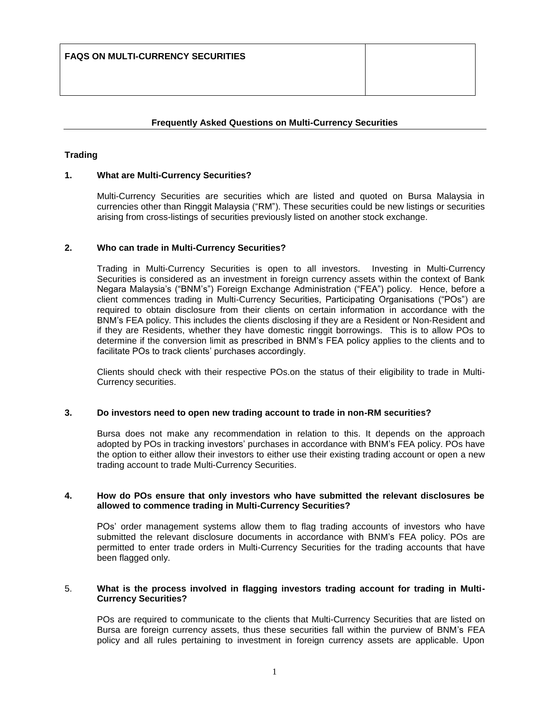# **Frequently Asked Questions on Multi-Currency Securities**

# **Trading**

# **1. What are Multi-Currency Securities?**

Multi-Currency Securities are securities which are listed and quoted on Bursa Malaysia in currencies other than Ringgit Malaysia ("RM"). These securities could be new listings or securities arising from cross-listings of securities previously listed on another stock exchange.

### **2. Who can trade in Multi-Currency Securities?**

Trading in Multi-Currency Securities is open to all investors. Investing in Multi-Currency Securities is considered as an investment in foreign currency assets within the context of Bank Negara Malaysia's ("BNM's") Foreign Exchange Administration ("FEA") policy. Hence, before a client commences trading in Multi-Currency Securities, Participating Organisations ("POs") are required to obtain disclosure from their clients on certain information in accordance with the BNM's FEA policy. This includes the clients disclosing if they are a Resident or Non-Resident and if they are Residents, whether they have domestic ringgit borrowings. This is to allow POs to determine if the conversion limit as prescribed in BNM's FEA policy applies to the clients and to facilitate POs to track clients' purchases accordingly.

Clients should check with their respective POs.on the status of their eligibility to trade in Multi-Currency securities.

### **3. Do investors need to open new trading account to trade in non-RM securities?**

Bursa does not make any recommendation in relation to this. It depends on the approach adopted by POs in tracking investors' purchases in accordance with BNM's FEA policy. POs have the option to either allow their investors to either use their existing trading account or open a new trading account to trade Multi-Currency Securities.

#### **4. How do POs ensure that only investors who have submitted the relevant disclosures be allowed to commence trading in Multi-Currency Securities?**

POs' order management systems allow them to flag trading accounts of investors who have submitted the relevant disclosure documents in accordance with BNM's FEA policy. POs are permitted to enter trade orders in Multi-Currency Securities for the trading accounts that have been flagged only.

#### 5. **What is the process involved in flagging investors trading account for trading in Multi-Currency Securities?**

POs are required to communicate to the clients that Multi-Currency Securities that are listed on Bursa are foreign currency assets, thus these securities fall within the purview of BNM's FEA policy and all rules pertaining to investment in foreign currency assets are applicable. Upon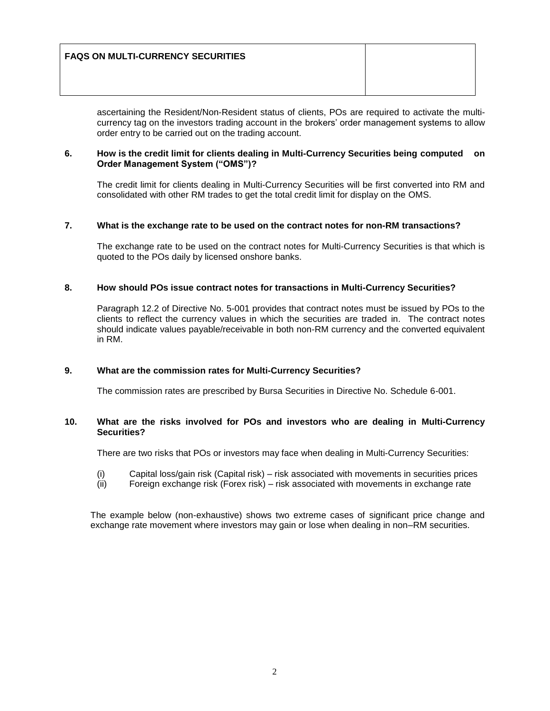| <b>FAQS ON MULTI-CURRENCY SECURITIES</b> |  |
|------------------------------------------|--|
|                                          |  |

ascertaining the Resident/Non-Resident status of clients, POs are required to activate the multicurrency tag on the investors trading account in the brokers' order management systems to allow order entry to be carried out on the trading account.

### **6. How is the credit limit for clients dealing in Multi-Currency Securities being computed on Order Management System ("OMS")?**

The credit limit for clients dealing in Multi-Currency Securities will be first converted into RM and consolidated with other RM trades to get the total credit limit for display on the OMS.

### **7. What is the exchange rate to be used on the contract notes for non-RM transactions?**

The exchange rate to be used on the contract notes for Multi-Currency Securities is that which is quoted to the POs daily by licensed onshore banks.

# **8. How should POs issue contract notes for transactions in Multi-Currency Securities?**

Paragraph 12.2 of Directive No. 5-001 provides that contract notes must be issued by POs to the clients to reflect the currency values in which the securities are traded in. The contract notes should indicate values payable/receivable in both non-RM currency and the converted equivalent in RM.

# **9. What are the commission rates for Multi-Currency Securities?**

The commission rates are prescribed by Bursa Securities in Directive No. Schedule 6-001.

# **10. What are the risks involved for POs and investors who are dealing in Multi-Currency Securities?**

There are two risks that POs or investors may face when dealing in Multi-Currency Securities:

- (i) Capital loss/gain risk (Capital risk) risk associated with movements in securities prices
- (ii) Foreign exchange risk (Forex risk) risk associated with movements in exchange rate

The example below (non-exhaustive) shows two extreme cases of significant price change and exchange rate movement where investors may gain or lose when dealing in non–RM securities.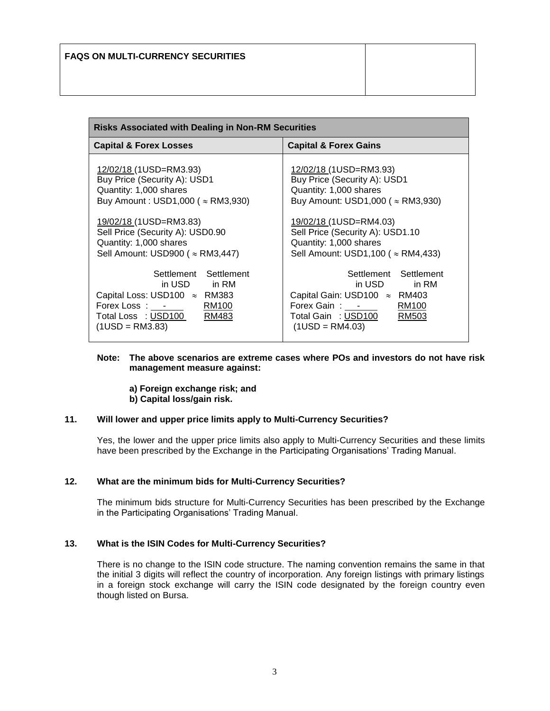| <b>Risks Associated with Dealing in Non-RM Securities</b>                                                                                                                                                                                                 |                                                                                                                                                                                                                                                             |  |
|-----------------------------------------------------------------------------------------------------------------------------------------------------------------------------------------------------------------------------------------------------------|-------------------------------------------------------------------------------------------------------------------------------------------------------------------------------------------------------------------------------------------------------------|--|
| <b>Capital &amp; Forex Losses</b>                                                                                                                                                                                                                         | <b>Capital &amp; Forex Gains</b>                                                                                                                                                                                                                            |  |
| 12/02/18 (1USD=RM3.93)<br>Buy Price (Security A): USD1<br>Quantity: 1,000 shares<br>Buy Amount: USD1,000 ( $\approx$ RM3,930)<br>19/02/18 (1USD=RM3.83)<br>Sell Price (Security A): USD0.90<br>Quantity: 1,000 shares<br>Sell Amount: USD900 ( ≈ RM3,447) | 12/02/18 (1USD=RM3.93)<br>Buy Price (Security A): USD1<br>Quantity: 1,000 shares<br>Buy Amount: USD1,000 ( $\approx$ RM3,930)<br>19/02/18 (1USD=RM4.03)<br>Sell Price (Security A): USD1.10<br>Quantity: 1,000 shares<br>Sell Amount: USD1,100 ( ≈ RM4,433) |  |
| Settlement Settlement<br>in USD in RM<br>Capital Loss: USD100 $\approx$ RM383<br>RM100<br>Forex Loss: -<br>Total Loss : USD100<br>RM483<br>$(1USD = RM3.83)$                                                                                              | Settlement Settlement<br>in USD<br>in RM<br>Capital Gain: USD100 ≈ RM403<br>Forex Gain: -<br>RM100<br>Total Gain : USD100<br>RM503<br>$(1USD = RM4.03)$                                                                                                     |  |

#### **Note: The above scenarios are extreme cases where POs and investors do not have risk management measure against:**

- **a) Foreign exchange risk; and**
- **b) Capital loss/gain risk.**

# **11. Will lower and upper price limits apply to Multi-Currency Securities?**

Yes, the lower and the upper price limits also apply to Multi-Currency Securities and these limits have been prescribed by the Exchange in the Participating Organisations' Trading Manual.

### **12. What are the minimum bids for Multi-Currency Securities?**

The minimum bids structure for Multi-Currency Securities has been prescribed by the Exchange in the Participating Organisations' Trading Manual.

# **13. What is the ISIN Codes for Multi-Currency Securities?**

There is no change to the ISIN code structure. The naming convention remains the same in that the initial 3 digits will reflect the country of incorporation. Any foreign listings with primary listings in a foreign stock exchange will carry the ISIN code designated by the foreign country even though listed on Bursa.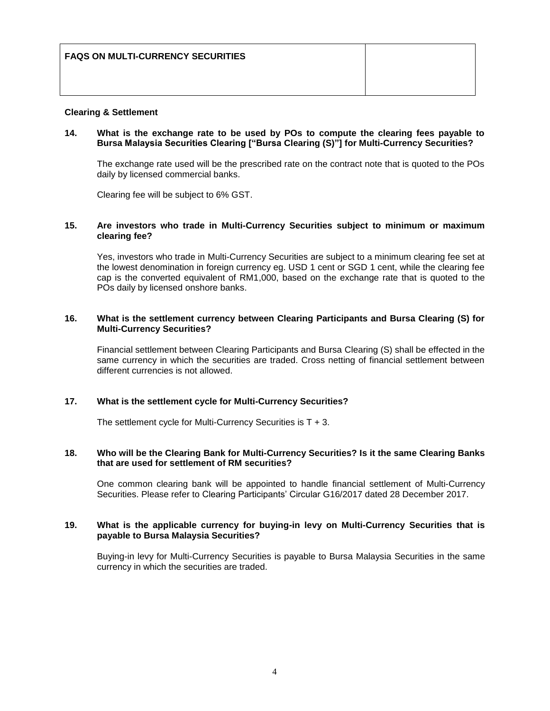| <b>FAQS ON MULTI-CURRENCY SECURITIES</b> |  |
|------------------------------------------|--|
|                                          |  |

### **Clearing & Settlement**

### **14. What is the exchange rate to be used by POs to compute the clearing fees payable to Bursa Malaysia Securities Clearing ["Bursa Clearing (S)"] for Multi-Currency Securities?**

The exchange rate used will be the prescribed rate on the contract note that is quoted to the POs daily by licensed commercial banks.

Clearing fee will be subject to 6% GST.

#### **15. Are investors who trade in Multi-Currency Securities subject to minimum or maximum clearing fee?**

Yes, investors who trade in Multi-Currency Securities are subject to a minimum clearing fee set at the lowest denomination in foreign currency eg. USD 1 cent or SGD 1 cent, while the clearing fee cap is the converted equivalent of RM1,000, based on the exchange rate that is quoted to the POs daily by licensed onshore banks.

### **16. What is the settlement currency between Clearing Participants and Bursa Clearing (S) for Multi-Currency Securities?**

Financial settlement between Clearing Participants and Bursa Clearing (S) shall be effected in the same currency in which the securities are traded. Cross netting of financial settlement between different currencies is not allowed.

# **17. What is the settlement cycle for Multi-Currency Securities?**

The settlement cycle for Multi-Currency Securities is  $T + 3$ .

### **18. Who will be the Clearing Bank for Multi-Currency Securities? Is it the same Clearing Banks that are used for settlement of RM securities?**

One common clearing bank will be appointed to handle financial settlement of Multi-Currency Securities. Please refer to Clearing Participants' Circular G16/2017 dated 28 December 2017.

### **19. What is the applicable currency for buying-in levy on Multi-Currency Securities that is payable to Bursa Malaysia Securities?**

Buying-in levy for Multi-Currency Securities is payable to Bursa Malaysia Securities in the same currency in which the securities are traded.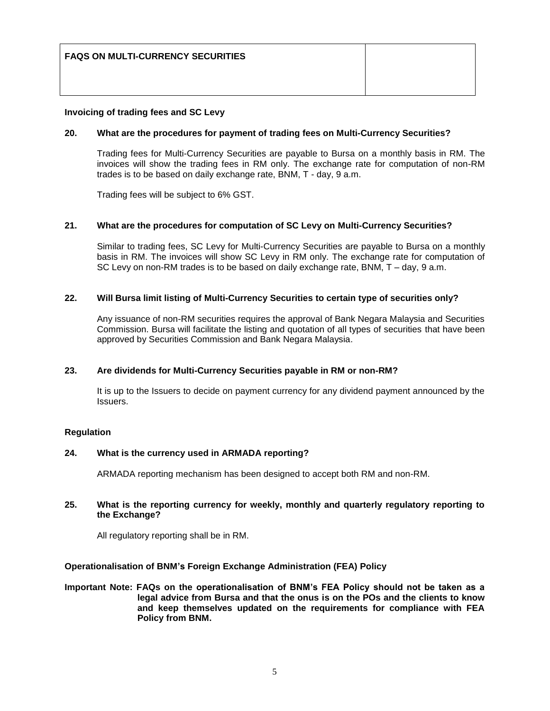| <b>FAQS ON MULTI-CURRENCY SECURITIES</b> |  |
|------------------------------------------|--|
|                                          |  |

# **Invoicing of trading fees and SC Levy**

# **20. What are the procedures for payment of trading fees on Multi-Currency Securities?**

Trading fees for Multi-Currency Securities are payable to Bursa on a monthly basis in RM. The invoices will show the trading fees in RM only. The exchange rate for computation of non-RM trades is to be based on daily exchange rate, BNM, T - day, 9 a.m.

Trading fees will be subject to 6% GST.

# **21. What are the procedures for computation of SC Levy on Multi-Currency Securities?**

Similar to trading fees, SC Levy for Multi-Currency Securities are payable to Bursa on a monthly basis in RM. The invoices will show SC Levy in RM only. The exchange rate for computation of SC Levy on non-RM trades is to be based on daily exchange rate, BNM, T – day, 9 a.m.

# **22. Will Bursa limit listing of Multi-Currency Securities to certain type of securities only?**

Any issuance of non-RM securities requires the approval of Bank Negara Malaysia and Securities Commission. Bursa will facilitate the listing and quotation of all types of securities that have been approved by Securities Commission and Bank Negara Malaysia.

# **23. Are dividends for Multi-Currency Securities payable in RM or non-RM?**

It is up to the Issuers to decide on payment currency for any dividend payment announced by the Issuers.

### **Regulation**

### **24. What is the currency used in ARMADA reporting?**

ARMADA reporting mechanism has been designed to accept both RM and non-RM.

### **25. What is the reporting currency for weekly, monthly and quarterly regulatory reporting to the Exchange?**

All regulatory reporting shall be in RM.

# **Operationalisation of BNM's Foreign Exchange Administration (FEA) Policy**

**Important Note: FAQs on the operationalisation of BNM's FEA Policy should not be taken as a legal advice from Bursa and that the onus is on the POs and the clients to know and keep themselves updated on the requirements for compliance with FEA Policy from BNM.**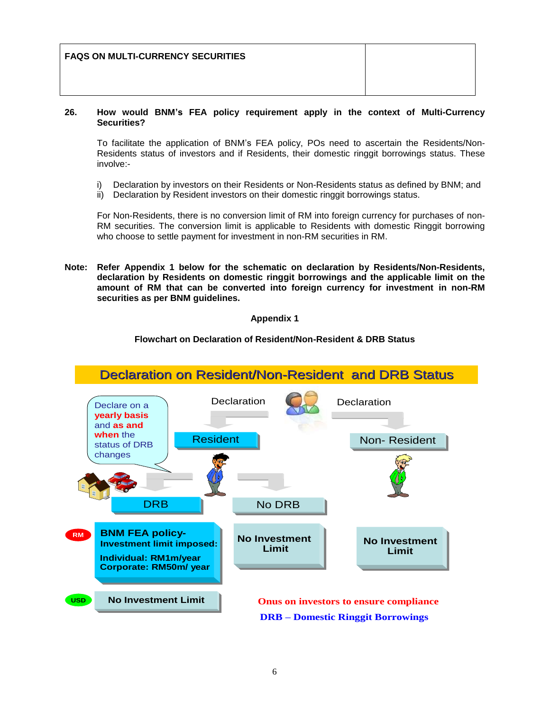| <b>FAQS ON MULTI-CURRENCY SECURITIES</b> |  |
|------------------------------------------|--|
|                                          |  |

# **26. How would BNM's FEA policy requirement apply in the context of Multi-Currency Securities?**

To facilitate the application of BNM's FEA policy, POs need to ascertain the Residents/Non-Residents status of investors and if Residents, their domestic ringgit borrowings status. These involve:-

- i) Declaration by investors on their Residents or Non-Residents status as defined by BNM; and
- ii) Declaration by Resident investors on their domestic ringgit borrowings status.

For Non-Residents, there is no conversion limit of RM into foreign currency for purchases of non-RM securities. The conversion limit is applicable to Residents with domestic Ringgit borrowing who choose to settle payment for investment in non-RM securities in RM.

**Note: Refer Appendix 1 below for the schematic on declaration by Residents/Non-Residents, declaration by Residents on domestic ringgit borrowings and the applicable limit on the amount of RM that can be converted into foreign currency for investment in non-RM securities as per BNM guidelines.**

# **Appendix 1**

# **Flowchart on Declaration of Resident/Non-Resident & DRB Status**

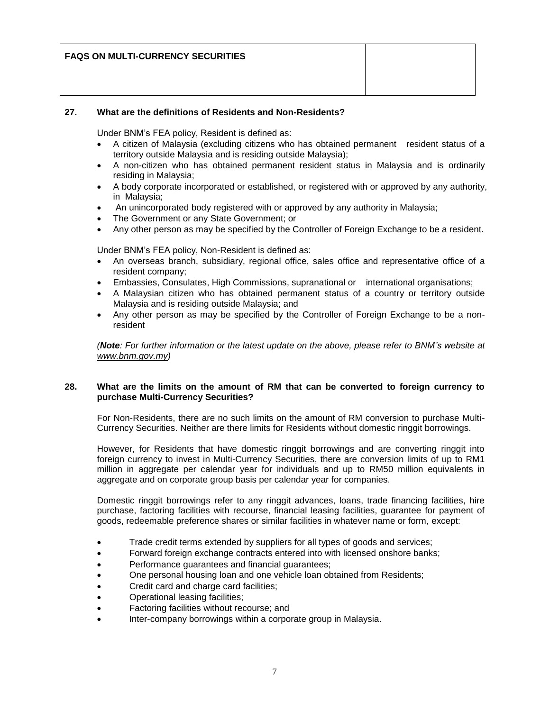| <b>FAQS ON MULTI-CURRENCY SECURITIES</b> |  |
|------------------------------------------|--|
|                                          |  |

# **27. What are the definitions of Residents and Non-Residents?**

Under BNM's FEA policy, Resident is defined as:

- A citizen of Malaysia (excluding citizens who has obtained permanent resident status of a territory outside Malaysia and is residing outside Malaysia);
- A non-citizen who has obtained permanent resident status in Malaysia and is ordinarily residing in Malaysia;
- A body corporate incorporated or established, or registered with or approved by any authority, in Malaysia;
- An unincorporated body registered with or approved by any authority in Malaysia;
- The Government or any State Government; or
- Any other person as may be specified by the Controller of Foreign Exchange to be a resident.

Under BNM's FEA policy, Non-Resident is defined as:

- An overseas branch, subsidiary, regional office, sales office and representative office of a resident company;
- Embassies, Consulates, High Commissions, supranational or international organisations;
- A Malaysian citizen who has obtained permanent status of a country or territory outside Malaysia and is residing outside Malaysia; and
- Any other person as may be specified by the Controller of Foreign Exchange to be a nonresident

*(Note: For further information or the latest update on the above, please refer to BNM's website at [www.bnm.gov.my\)](http://www.bnm.gov.my/)*

### **28. What are the limits on the amount of RM that can be converted to foreign currency to purchase Multi-Currency Securities?**

For Non-Residents, there are no such limits on the amount of RM conversion to purchase Multi-Currency Securities. Neither are there limits for Residents without domestic ringgit borrowings.

However, for Residents that have domestic ringgit borrowings and are converting ringgit into foreign currency to invest in Multi-Currency Securities, there are conversion limits of up to RM1 million in aggregate per calendar year for individuals and up to RM50 million equivalents in aggregate and on corporate group basis per calendar year for companies.

Domestic ringgit borrowings refer to any ringgit advances, loans, trade financing facilities, hire purchase, factoring facilities with recourse, financial leasing facilities, guarantee for payment of goods, redeemable preference shares or similar facilities in whatever name or form, except:

- Trade credit terms extended by suppliers for all types of goods and services;
- Forward foreign exchange contracts entered into with licensed onshore banks;
- Performance guarantees and financial guarantees;
- One personal housing loan and one vehicle loan obtained from Residents;
- Credit card and charge card facilities;
- Operational leasing facilities;
- Factoring facilities without recourse; and
- Inter-company borrowings within a corporate group in Malaysia.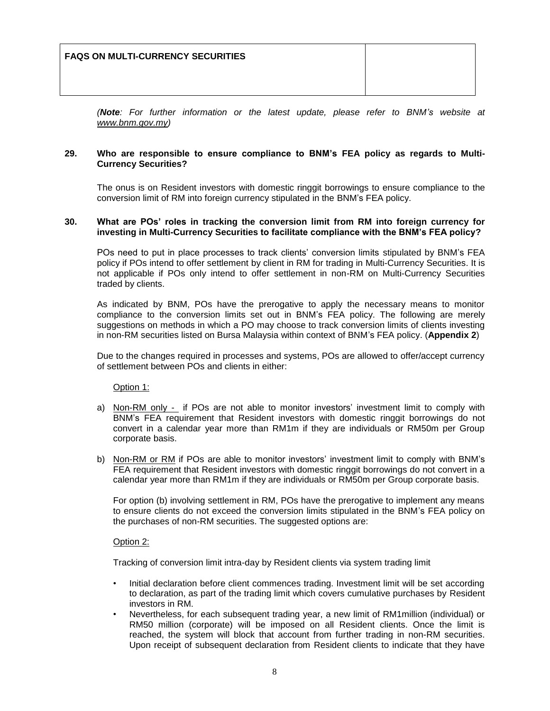*(Note: For further information or the latest update, please refer to BNM's website at [www.bnm.gov.my\)](http://www.bnm.gov.my/)*

### **29. Who are responsible to ensure compliance to BNM's FEA policy as regards to Multi-Currency Securities?**

The onus is on Resident investors with domestic ringgit borrowings to ensure compliance to the conversion limit of RM into foreign currency stipulated in the BNM's FEA policy.

### **30. What are POs' roles in tracking the conversion limit from RM into foreign currency for investing in Multi-Currency Securities to facilitate compliance with the BNM's FEA policy?**

POs need to put in place processes to track clients' conversion limits stipulated by BNM's FEA policy if POs intend to offer settlement by client in RM for trading in Multi-Currency Securities. It is not applicable if POs only intend to offer settlement in non-RM on Multi-Currency Securities traded by clients.

As indicated by BNM, POs have the prerogative to apply the necessary means to monitor compliance to the conversion limits set out in BNM's FEA policy. The following are merely suggestions on methods in which a PO may choose to track conversion limits of clients investing in non-RM securities listed on Bursa Malaysia within context of BNM's FEA policy. (**Appendix 2**)

Due to the changes required in processes and systems, POs are allowed to offer/accept currency of settlement between POs and clients in either:

Option 1:

- a) Non-RM only if POs are not able to monitor investors' investment limit to comply with BNM's FEA requirement that Resident investors with domestic ringgit borrowings do not convert in a calendar year more than RM1m if they are individuals or RM50m per Group corporate basis.
- b) Non-RM or RM if POs are able to monitor investors' investment limit to comply with BNM's FEA requirement that Resident investors with domestic ringgit borrowings do not convert in a calendar year more than RM1m if they are individuals or RM50m per Group corporate basis.

For option (b) involving settlement in RM, POs have the prerogative to implement any means to ensure clients do not exceed the conversion limits stipulated in the BNM's FEA policy on the purchases of non-RM securities. The suggested options are:

### Option 2:

Tracking of conversion limit intra-day by Resident clients via system trading limit

- Initial declaration before client commences trading. Investment limit will be set according to declaration, as part of the trading limit which covers cumulative purchases by Resident investors in RM.
- Nevertheless, for each subsequent trading year, a new limit of RM1million (individual) or RM50 million (corporate) will be imposed on all Resident clients. Once the limit is reached, the system will block that account from further trading in non-RM securities. Upon receipt of subsequent declaration from Resident clients to indicate that they have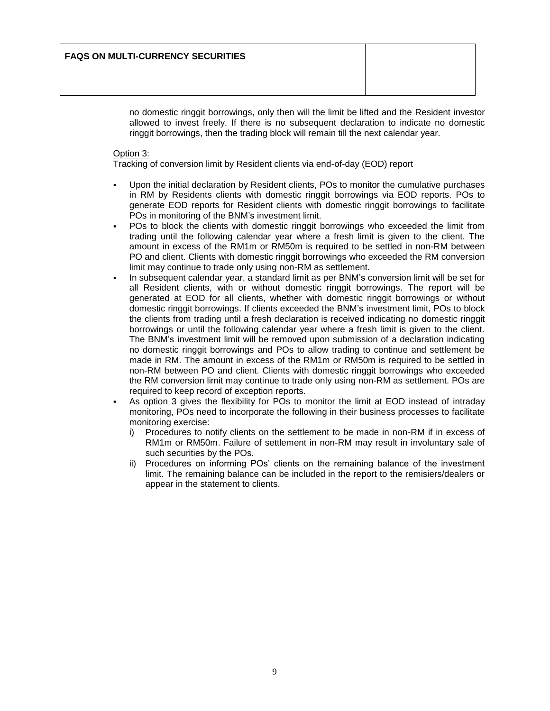no domestic ringgit borrowings, only then will the limit be lifted and the Resident investor allowed to invest freely. If there is no subsequent declaration to indicate no domestic ringgit borrowings, then the trading block will remain till the next calendar year.

### Option 3:

Tracking of conversion limit by Resident clients via end-of-day (EOD) report

- Upon the initial declaration by Resident clients, POs to monitor the cumulative purchases in RM by Residents clients with domestic ringgit borrowings via EOD reports. POs to generate EOD reports for Resident clients with domestic ringgit borrowings to facilitate POs in monitoring of the BNM's investment limit.
- POs to block the clients with domestic ringgit borrowings who exceeded the limit from trading until the following calendar year where a fresh limit is given to the client. The amount in excess of the RM1m or RM50m is required to be settled in non-RM between PO and client. Clients with domestic ringgit borrowings who exceeded the RM conversion limit may continue to trade only using non-RM as settlement.
- In subsequent calendar year, a standard limit as per BNM's conversion limit will be set for all Resident clients, with or without domestic ringgit borrowings. The report will be generated at EOD for all clients, whether with domestic ringgit borrowings or without domestic ringgit borrowings. If clients exceeded the BNM's investment limit, POs to block the clients from trading until a fresh declaration is received indicating no domestic ringgit borrowings or until the following calendar year where a fresh limit is given to the client. The BNM's investment limit will be removed upon submission of a declaration indicating no domestic ringgit borrowings and POs to allow trading to continue and settlement be made in RM. The amount in excess of the RM1m or RM50m is required to be settled in non-RM between PO and client. Clients with domestic ringgit borrowings who exceeded the RM conversion limit may continue to trade only using non-RM as settlement. POs are required to keep record of exception reports.
- As option 3 gives the flexibility for POs to monitor the limit at EOD instead of intraday monitoring, POs need to incorporate the following in their business processes to facilitate monitoring exercise:
	- i) Procedures to notify clients on the settlement to be made in non-RM if in excess of RM1m or RM50m. Failure of settlement in non-RM may result in involuntary sale of such securities by the POs.
	- ii) Procedures on informing POs' clients on the remaining balance of the investment limit. The remaining balance can be included in the report to the remisiers/dealers or appear in the statement to clients.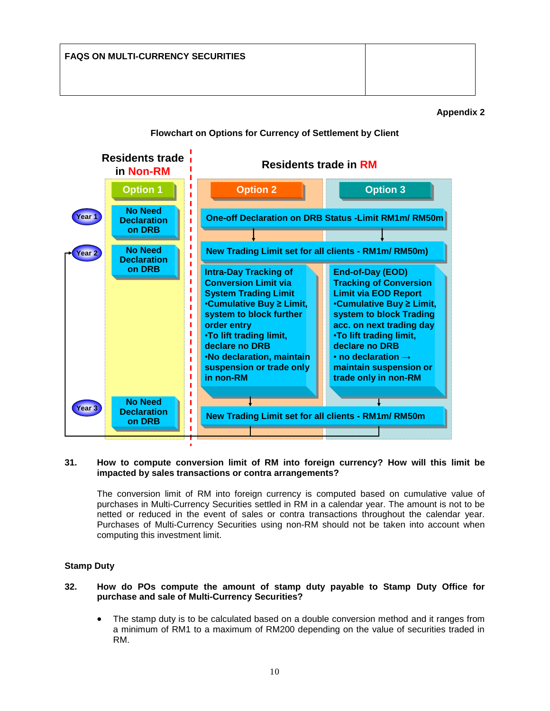# **Appendix 2**

# **Flowchart on Options for Currency of Settlement by Client**



#### **31. How to compute conversion limit of RM into foreign currency? How will this limit be impacted by sales transactions or contra arrangements?**

The conversion limit of RM into foreign currency is computed based on cumulative value of purchases in Multi-Currency Securities settled in RM in a calendar year. The amount is not to be netted or reduced in the event of sales or contra transactions throughout the calendar year. Purchases of Multi-Currency Securities using non-RM should not be taken into account when computing this investment limit.

### **Stamp Duty**

### **32. How do POs compute the amount of stamp duty payable to Stamp Duty Office for purchase and sale of Multi-Currency Securities?**

 The stamp duty is to be calculated based on a double conversion method and it ranges from a minimum of RM1 to a maximum of RM200 depending on the value of securities traded in RM.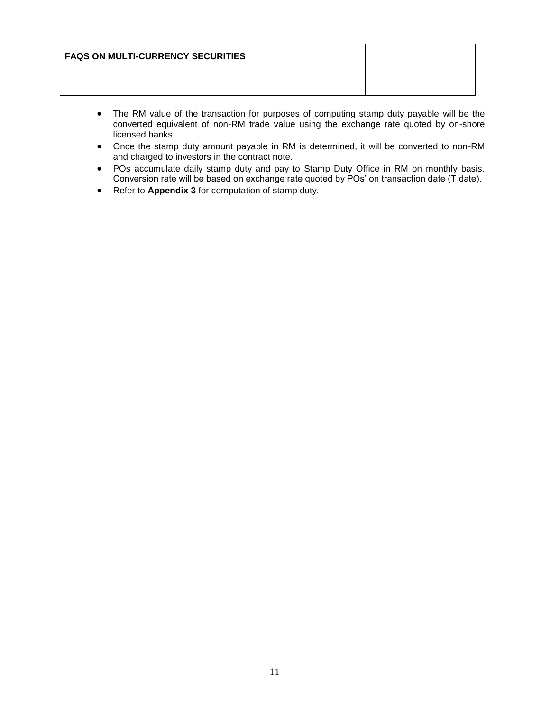| <b>FAQS ON MULTI-CURRENCY SECURITIES</b> |  |
|------------------------------------------|--|
|                                          |  |

- The RM value of the transaction for purposes of computing stamp duty payable will be the converted equivalent of non-RM trade value using the exchange rate quoted by on-shore licensed banks.
- Once the stamp duty amount payable in RM is determined, it will be converted to non-RM and charged to investors in the contract note.
- POs accumulate daily stamp duty and pay to Stamp Duty Office in RM on monthly basis. Conversion rate will be based on exchange rate quoted by POs' on transaction date (T date).
- Refer to **Appendix 3** for computation of stamp duty.